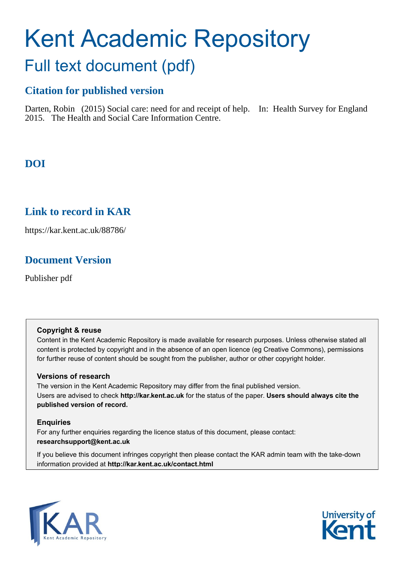# Kent Academic Repository Full text document (pdf)

## **Citation for published version**

Darten, Robin (2015) Social care: need for and receipt of help. In: Health Survey for England 2015. The Health and Social Care Information Centre.

## **DOI**

## **Link to record in KAR**

https://kar.kent.ac.uk/88786/

## **Document Version**

Publisher pdf

#### **Copyright & reuse**

Content in the Kent Academic Repository is made available for research purposes. Unless otherwise stated all content is protected by copyright and in the absence of an open licence (eg Creative Commons), permissions for further reuse of content should be sought from the publisher, author or other copyright holder.

#### **Versions of research**

The version in the Kent Academic Repository may differ from the final published version. Users are advised to check **http://kar.kent.ac.uk** for the status of the paper. **Users should always cite the published version of record.**

#### **Enquiries**

For any further enquiries regarding the licence status of this document, please contact: **researchsupport@kent.ac.uk**

If you believe this document infringes copyright then please contact the KAR admin team with the take-down information provided at **http://kar.kent.ac.uk/contact.html**



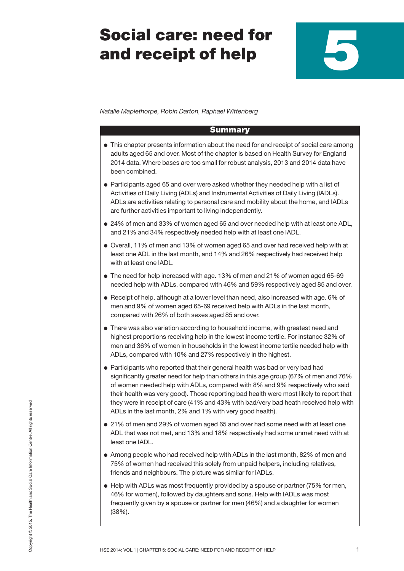## **Social care: need for and receipt of help**

*Natalie Maplethorpe, Robin Darton, Raphael Wittenberg*

#### **Summary**

- **●** This chapter presents information about the need for and receipt of social care among adults aged 65 and over. Most of the chapter is based on Health Survey for England 2014 data. Where bases are too small for robust analysis, 2013 and 2014 data have been combined.
- **●** Participants aged 65 and over were asked whether they needed help with a list of Activities of Daily Living (ADLs) and Instrumental Activities of Daily Living (IADLs). ADLs are activities relating to personal care and mobility about the home, and IADLs are further activities important to living independently.
- **●** 24% of men and 33% of women aged 65 and over needed help with at least one ADL, and 21% and 34% respectively needed help with at least one IADL.
- **●** Overall, 11% of men and 13% of women aged 65 and over had received help with at least one ADL in the last month, and 14% and 26% respectively had received help with at least one IADL.
- **●** The need for help increased with age. 13% of men and 21% of women aged 65-69 needed help with ADLs, compared with 46% and 59% respectively aged 85 and over.
- **●** Receipt of help, although at a lower level than need, also increased with age. 6% of men and 9% of women aged 65-69 received help with ADLs in the last month, compared with 26% of both sexes aged 85 and over.
- **●** There was also variation according to household income, with greatest need and highest proportions receiving help in the lowest income tertile. For instance 32% of men and 36% of women in households in the lowest income tertile needed help with ADLs, compared with 10% and 27% respectively in the highest.
- **●** Participants who reported that their general health was bad or very bad had significantly greater need for help than others in this age group (67% of men and 76% of women needed help with ADLs, compared with 8% and 9% respectively who said their health was very good). Those reporting bad health were most likely to report that they were in receipt of care (41% and 43% with bad/very bad heath received help with ADLs in the last month, 2% and 1% with very good health).
- **●** 21% of men and 29% of women aged 65 and over had some need with at least one ADL that was not met, and 13% and 18% respectively had some unmet need with at least one IADL.
- **●** Among people who had received help with ADLs in the last month, 82% of men and 75% of women had received this solely from unpaid helpers, including relatives, friends and neighbours. The picture was similar for IADLs.
- **●** Help with ADLs was most frequently provided by a spouse or partner (75% for men, 46% for women), followed by daughters and sons. Help with IADLs was most frequently given by a spouse or partner for men (46%) and a daughter for women (38%).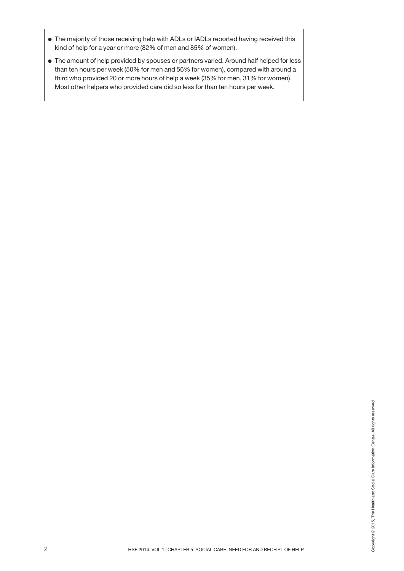- **●** The majority of those receiving help with ADLs or IADLs reported having received this kind of help for a year or more (82% of men and 85% of women).
- **●** The amount of help provided by spouses or partners varied. Around half helped for less than ten hours per week (50% for men and 56% for women), compared with around a third who provided 20 or more hours of help a week (35% for men, 31% for women). Most other helpers who provided care did so less for than ten hours per week.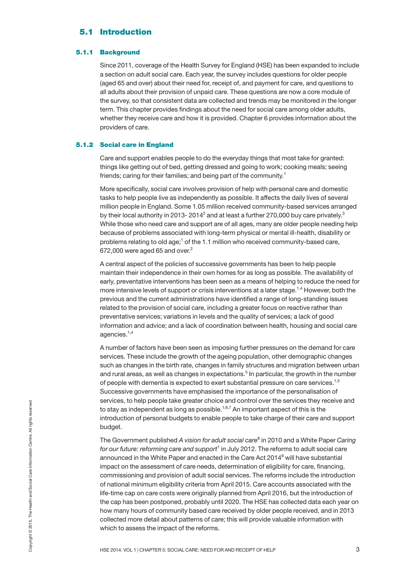#### **5.1 Introduction**

#### **5.1.1 Background**

Since 2011, coverage of the Health Survey for England (HSE) has been expanded to include a section on adult social care. Each year, the survey includes questions for older people (aged 65 and over) about their need for, receipt of, and payment for care, and questions to all adults about their provision of unpaid care. These questions are now a core module of the survey, so that consistent data are collected and trends may be monitored in the longer term. This chapter provides findings about the need for social care among older adults, whether they receive care and how it is provided. Chapter 6 provides information about the providers of care.

#### **5.1.2 Social care in England**

Care and support enables people to do the everyday things that most take for granted: things like getting out of bed, getting dressed and going to work; cooking meals; seeing friends; caring for their families; and being part of the community.<sup>1</sup>

More specifically, social care involves provision of help with personal care and domestic tasks to help people live as independently as possible. It affects the daily lives of several million people in England. Some 1.05 million received community-based services arranged by their local authority in 2013- 2014<sup>2</sup> and at least a further 270,000 buy care privately.<sup>3</sup> While those who need care and support are of all ages, many are older people needing help because of problems associated with long-term physical or mental ill-health, disability or problems relating to old age;<sup>1</sup> of the 1.1 million who received community-based care,  $672,000$  were aged 65 and over.<sup>2</sup>

A central aspect of the policies of successive governments has been to help people maintain their independence in their own homes for as long as possible. The availability of early, preventative interventions has been seen as a means of helping to reduce the need for more intensive levels of support or crisis interventions at a later stage.<sup>1,4</sup> However, both the previous and the current administrations have identified a range of long-standing issues related to the provision of social care, including a greater focus on reactive rather than preventative services; variations in levels and the quality of services; a lack of good information and advice; and a lack of coordination between health, housing and social care agencies.<sup>1,4</sup>

A number of factors have been seen as imposing further pressures on the demand for care services. These include the growth of the ageing population, other demographic changes such as changes in the birth rate, changes in family structures and migration between urban and rural areas, as well as changes in expectations. <sup>5</sup> In particular, the growth in the number of people with dementia is expected to exert substantial pressure on care services.<sup>1,5</sup> Successive governments have emphasised the importance of the personalisation of services, to help people take greater choice and control over the services they receive and to stay as independent as long as possible.<sup>1,6,7</sup> An important aspect of this is the introduction of personal budgets to enable people to take charge of their care and support budget.

However, to the people are colored and control over the solvices are those that the serves are the serves and the introduction of personal budgets to enable people to take charge of their care and support budget.<br>The Gover The Government published *A vision for adult social care*<sup>8</sup> in 2010 and a White Paper *Caring for our future: reforming care and support* <sup>1</sup> in July 2012. The reforms to adult social care announced in the White Paper and enacted in the Care Act 2014<sup>9</sup> will have substantial impact on the assessment of care needs, determination of eligibility for care, financing, commissioning and provision of adult social services. The reforms include the introduction of national minimum eligibility criteria from April 2015. Care accounts associated with the life-time cap on care costs were originally planned from April 2016, but the introduction of the cap has been postponed, probably until 2020. The HSE has collected data each year on how many hours of community based care received by older people received, and in 2013 collected more detail about patterns of care; this will provide valuable information with which to assess the impact of the reforms.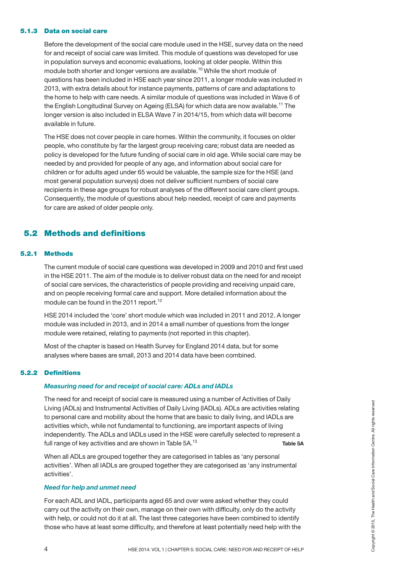#### **5.1.3 Data on social care**

Before the development of the social care module used in the HSE, survey data on the need for and receipt of social care was limited. This module of questions was developed for use in population surveys and economic evaluations, looking at older people. Within this module both shorter and longer versions are available. <sup>10</sup> While the short module of questions has been included in HSE each year since 2011, a longer module was included in 2013, with extra details about for instance payments, patterns of care and adaptations to the home to help with care needs. A similar module of questions was included in Wave 6 of the English Longitudinal Survey on Ageing (ELSA) for which data are now available.<sup>11</sup> The longer version is also included in ELSA Wave 7 in 2014/15, from which data will become available in future.

The HSE does not cover people in care homes. Within the community, it focuses on older people, who constitute by far the largest group receiving care; robust data are needed as policy is developed for the future funding of social care in old age. While social care may be needed by and provided for people of any age, and information about social care for children or for adults aged under 65 would be valuable, the sample size for the HSE (and most general population surveys) does not deliver sufficient numbers of social care recipients in these age groups for robust analyses of the different social care client groups. Consequently, the module of questions about help needed, receipt of care and payments for care are asked of older people only.

#### **5.2 Methods and definitions**

#### **5.2.1 Methods**

The current module of social care questions was developed in 2009 and 2010 and first used in the HSE 2011. The aim of the module is to deliver robust data on the need for and receipt of social care services, the characteristics of people providing and receiving unpaid care, and on people receiving formal care and support. More detailed information about the module can be found in the 2011 report.<sup>12</sup>

HSE 2014 included the 'core' short module which was included in 2011 and 2012. A longer module was included in 2013, and in 2014 a small number of questions from the longer module were retained, relating to payments (not reported in this chapter).

Most of the chapter is based on Health Survey for England 2014 data, but for some analyses where bases are small, 2013 and 2014 data have been combined.

#### **5.2.2 Definitions**

#### *Measuring need for and receipt of social care: ADLs and IADLs*

The need for and receipt of social care is measured using a number of Activities of Daily Living (ADLs) and Instrumental Activities of Daily Living (IADLs). ADLs are activities relating to personal care and mobility about the home that are basic to daily living, and IADLs are activities which, while not fundamental to functioning, are important aspects of living independently. The ADLs and IADLs used in the HSE were carefully selected to represent a full range of key activities and are shown in Table 5A.<sup>13</sup> <sup>13</sup> **Table 5A** 4 HSE 2014: VOL 1 | CHAPTER 5: SOCIAL CARE: NEED FOR AND RECEIPT OF HELP<br>
14 HSE 2014: VOL 1 | CHAPTER 5: SOCIAL CARE: NEED FOR AND RECEIPT OF HELP<br>
independent and mobility about the home that are basic to daily living, a

When all ADLs are grouped together they are categorised in tables as 'any personal activities'. When all IADLs are grouped together they are categorised as 'any instrumental activities'.

#### *Need for help and unmet need*

For each ADL and IADL, participants aged 65 and over were asked whether they could carry out the activity on their own, manage on their own with difficulty, only do the activity with help, or could not do it at all. The last three categories have been combined to identify those who have at least some difficulty, and therefore at least potentially need help with the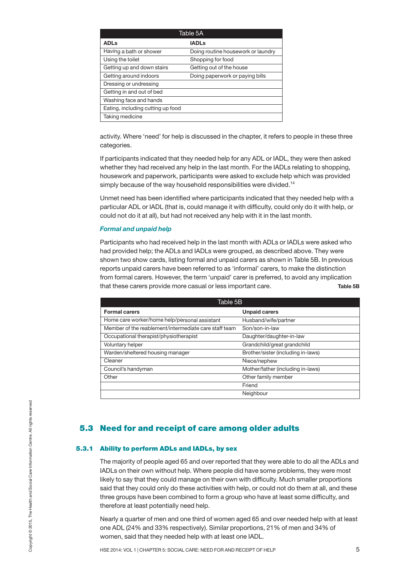| Table 5A                          |                                    |
|-----------------------------------|------------------------------------|
| <b>ADLs</b>                       | <b>IADLs</b>                       |
| Having a bath or shower           | Doing routine housework or laundry |
| Using the toilet                  | Shopping for food                  |
| Getting up and down stairs        | Getting out of the house           |
| Getting around indoors            | Doing paperwork or paying bills    |
| Dressing or undressing            |                                    |
| Getting in and out of bed         |                                    |
| Washing face and hands            |                                    |
| Eating, including cutting up food |                                    |
| Taking medicine                   |                                    |

activity. Where 'need' for help is discussed in the chapter, it refers to people in these three categories.

If participants indicated that they needed help for any ADL or IADL, they were then asked whether they had received any help in the last month. For the IADLs relating to shopping, housework and paperwork, participants were asked to exclude help which was provided simply because of the way household responsibilities were divided.<sup>14</sup>

Unmet need has been identified where participants indicated that they needed help with a particular ADL or IADL (that is, could manage it with difficulty, could only do it with help, or could not do it at all), but had not received any help with it in the last month.

#### *Formal and unpaid help*

Participants who had received help in the last month with ADLs or IADLs were asked who had provided help; the ADLs and IADLs were grouped, as described above. They were shown two show cards, listing formal and unpaid carers as shown in Table 5B. In previous reports unpaid carers have been referred to as 'informal' carers, to make the distinction from formal carers. However, the term 'unpaid' carer is preferred, to avoid any implication that these carers provide more casual or less important care. **Table 5B**

| Table 5B                                              |                                    |
|-------------------------------------------------------|------------------------------------|
| <b>Formal carers</b>                                  | <b>Unpaid carers</b>               |
| Home care worker/home help/personal assistant         | Husband/wife/partner               |
| Member of the reablement/intermediate care staff team | Son/son-in-law                     |
| Occupational therapist/physiotherapist                | Daughter/daughter-in-law           |
| Voluntary helper                                      | Grandchild/great grandchild        |
| Warden/sheltered housing manager                      | Brother/sister (including in-laws) |
| Cleaner                                               | Niece/nephew                       |
| Council's handyman                                    | Mother/father (including in-laws)  |
| Other                                                 | Other family member                |
|                                                       | Friend                             |
|                                                       | Neighbour                          |

#### **5.3 Need for and receipt of care among older adults**

#### **5.3.1 Ability to perform ADLs and IADLs, by sex**

The majority of people aged 65 and over reported that they were able to do all the ADLs and IADLs on their own without help. Where people did have some problems, they were most likely to say that they could manage on their own with difficulty. Much smaller proportions said that they could only do these activities with help, or could not do them at all, and these three groups have been combined to form a group who have at least some difficulty, and therefore at least potentially need help. **5.3 Need for and receipt of care among older adults**<br> **Example 3.3.1 Ability to perform ADLs and IADLs, by sex**<br>
The majority of people aged 65 and over reported that they were able to do all the ADLs and<br>
IADLs on their

Nearly a quarter of men and one third of women aged 65 and over needed help with at least one ADL (24% and 33% respectively). Similar proportions, 21% of men and 34% of women, said that they needed help with at least one IADL.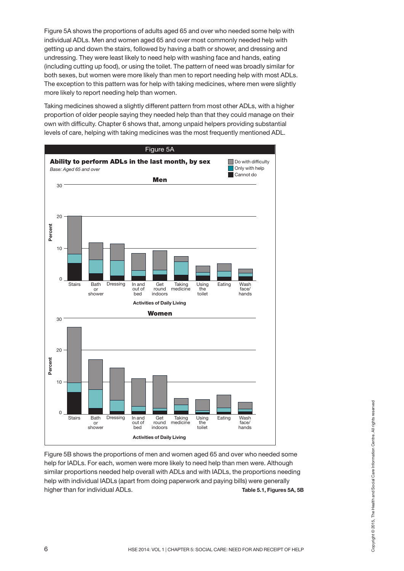Figure 5A shows the proportions of adults aged 65 and over who needed some help with individual ADLs. Men and women aged 65 and over most commonly needed help with getting up and down the stairs, followed by having a bath or shower, and dressing and undressing. They were least likely to need help with washing face and hands, eating (including cutting up food), or using the toilet. The pattern of need was broadly similar for both sexes, but women were more likely than men to report needing help with most ADLs. The exception to this pattern was for help with taking medicines, where men were slightly more likely to report needing help than women.

Taking medicines showed a slightly different pattern from most other ADLs, with a higher proportion of older people saying they needed help than that they could manage on their own with difficulty. Chapter 6 shows that, among unpaid helpers providing substantial levels of care, helping with taking medicines was the most frequently mentioned ADL.



Figure 5B shows the proportions of men and women aged 65 and over who needed some help for IADLs. For each, women were more likely to need help than men were. Although similar proportions needed help overall with ADLs and with IADLs, the proportions needing help with individual IADLs (apart from doing paperwork and paying bills) were generally higher than for individual ADLs. **Table 5.1, Figures 5A, 5B** Figure 5B shows the proportions of men and women aged 65 and over who needed some<br>
Higher B Shows the proportions of men and women aged 65 and over who needed some<br>
Help for IADLs. For each, women were more likely to need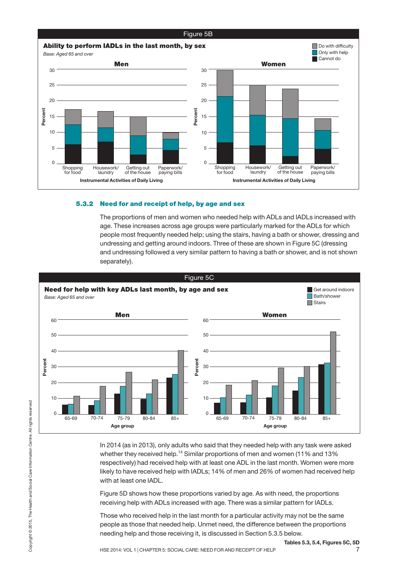

#### **5.3.2 Need for and receipt of help, by age and sex**

The proportions of men and women who needed help with ADLs and IADLs increased with age. These increases across age groups were particularly marked for the ADLs for which people most frequently needed help; using the stairs, having a bath or shower, dressing and undressing and getting around indoors. Three of these are shown in Figure 5C (dressing and undressing followed a very similar pattern to having a bath or shower, and is not shown separately).



In 2014 (as in 2013), only adults who said that they needed help with any task were asked whether they received help.<sup>14</sup> Similar proportions of men and women (11% and 13% respectively) had received help with at least one ADL in the last month. Women were more likely to have received help with IADLs; 14% of men and 26% of women had received help with at least one IADL.

Figure 5D shows how these proportions varied by age. As with need, the proportions receiving help with ADLs increased with age. There was a similar pattern for IADLs.

Those who received help in the last month for a particular activity may not be the same people as those that needed help. Unmet need, the difference between the proportions needing help and those receiving it, is discussed in Section 5.3.5 below.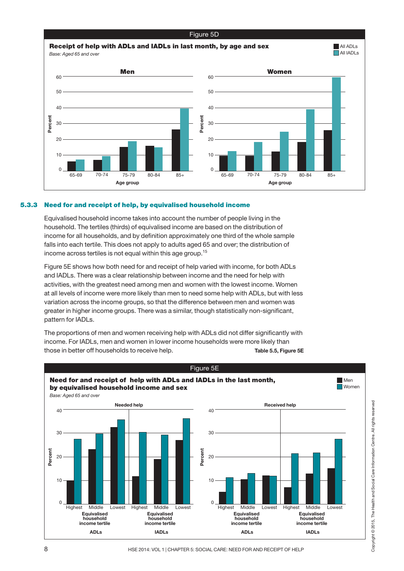

#### **5.3.3 Need for and receipt of help, by equivalised household income**

Equivalised household income takes into account the number of people living in the household. The tertiles (thirds) of equivalised income are based on the distribution of income for all households, and by definition approximately one third of the whole sample falls into each tertile. This does not apply to adults aged 65 and over; the distribution of income across tertiles is not equal within this age group.<sup>15</sup>

Figure 5E shows how both need for and receipt of help varied with income, for both ADLs and IADLs. There was a clear relationship between income and the need for help with activities, with the greatest need among men and women with the lowest income. Women at all levels of income were more likely than men to need some help with ADLs, but with less variation across the income groups, so that the difference between men and women was greater in higher income groups. There was a similar, though statistically non-significant, pattern for IADLs.

The proportions of men and women receiving help with ADLs did not differ significantly with income. For IADLs, men and women in lower income households were more likely than those in better off households to receive help. **Table 5.5, Figure 5E**

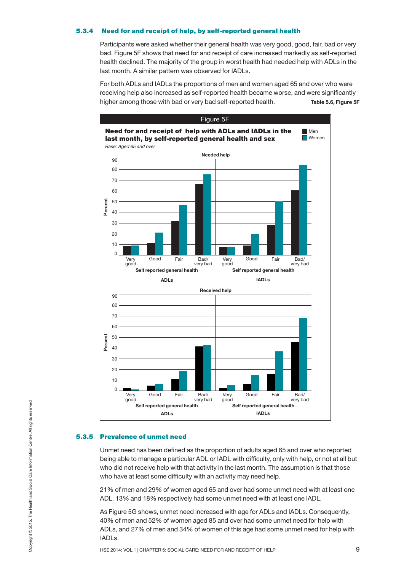#### **5.3.4 Need for and receipt of help, by self-reported general health**

Participants were asked whether their general health was very good, good, fair, bad or very bad. Figure 5F shows that need for and receipt of care increased markedly as self-reported health declined. The majority of the group in worst health had needed help with ADLs in the last month. A similar pattern was observed for IADLs.

For both ADLs and IADLs the proportions of men and women aged 65 and over who were receiving help also increased as self-reported health became worse, and were significantly higher among those with bad or very bad self-reported health. **Table 5.6, Figure 5F**



#### **5.3.5 Prevalence of unmet need**

Unmet need has been defined as the proportion of adults aged 65 and over who reported being able to manage a particular ADL or IADL with difficulty, only with help, or not at all but who did not receive help with that activity in the last month. The assumption is that those who have at least some difficulty with an activity may need help. However, the monted general health and the most of the most of the most of the most of the most of the most of the most of the most of the most of the most of the most of the most of the most of the most of the most of the

21% of men and 29% of women aged 65 and over had some unmet need with at least one ADL. 13% and 18% respectively had some unmet need with at least one IADL.

As Figure 5G shows, unmet need increased with age for ADLs and IADLs. Consequently, 40% of men and 52% of women aged 85 and over had some unmet need for help with ADLs, and 27% of men and 34% of women of this age had some unmet need for help with IADLs.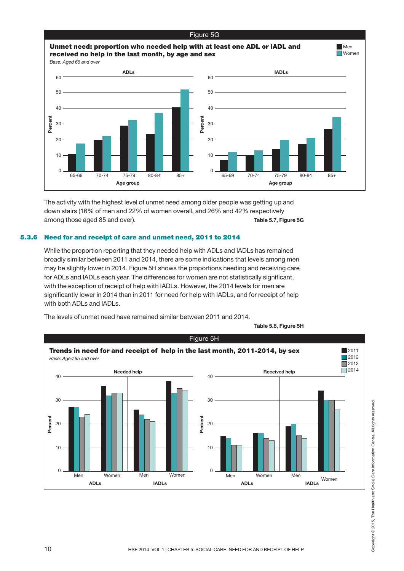

The activity with the highest level of unmet need among older people was getting up and down stairs (16% of men and 22% of women overall, and 26% and 42% respectively among those aged 85 and over). **Table 5.7, Figure 5G**

#### **5.3.6 Need for and receipt of care and unmet need, 2011 to 2014**

While the proportion reporting that they needed help with ADLs and IADLs has remained broadly similar between 2011 and 2014, there are some indications that levels among men may be slightly lower in 2014. Figure 5H shows the proportions needing and receiving care for ADLs and IADLs each year. The differences for women are not statistically significant, with the exception of receipt of help with IADLs. However, the 2014 levels for men are significantly lower in 2014 than in 2011 for need for help with IADLs, and for receipt of help with both ADLs and IADLs.

The levels of unmet need have remained similar between 2011 and 2014.



**Table 5.8, Figure 5H**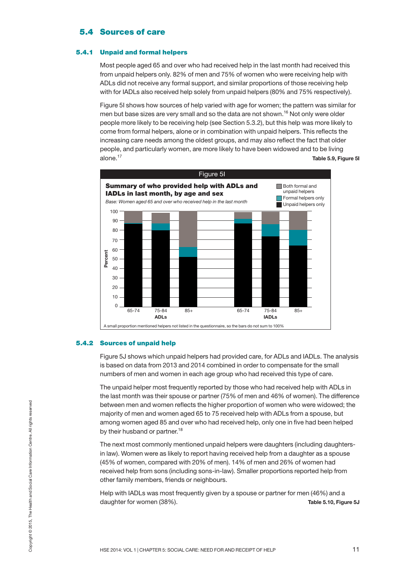#### **5.4 Sources of care**

#### **5.4.1 Unpaid and formal helpers**

Most people aged 65 and over who had received help in the last month had received this from unpaid helpers only. 82% of men and 75% of women who were receiving help with ADLs did not receive any formal support, and similar proportions of those receiving help with for IADLs also received help solely from unpaid helpers (80% and 75% respectively).

Figure 5I shows how sources of help varied with age for women; the pattern was similar for men but base sizes are very small and so the data are not shown. <sup>16</sup> Not only were older people more likely to be receiving help (see Section 5.3.2), but this help was more likely to come from formal helpers, alone or in combination with unpaid helpers. This reflects the increasing care needs among the oldest groups, and may also reflect the fact that older people, and particularly women, are more likely to have been widowed and to be living alone. <sup>17</sup> **Table 5.9, Figure 5I**



#### **5.4.2 Sources of unpaid help**

Figure 5J shows which unpaid helpers had provided care, for ADLs and IADLs. The analysis is based on data from 2013 and 2014 combined in order to compensate for the small numbers of men and women in each age group who had received this type of care.

The unpaid helper most frequently reported by those who had received help with ADLs in the last month was their spouse or partner (75% of men and 46% of women). The difference between men and women reflects the higher proportion of women who were widowed; the majority of men and women aged 65 to 75 received help with ADLs from a spouse, but among women aged 85 and over who had received help, only one in five had been helped by their husband or partner.<sup>18</sup>

The next most commonly mentioned unpaid helpers were daughters (including daughtersin law). Women were as likely to report having received help from a daughter as a spouse (45% of women, compared with 20% of men). 14% of men and 26% of women had received help from sons (including sons-in-law). Smaller proportions reported help from other family members, friends or neighbours. HERE 2014: VOL 1 | CHAPTER 5: SOCIAL CARE: NEED FOR AND RECEIPT OF HELP THERE 2014: VOL 1 | CHAPTER 5: SOCIAL CARE: NEED FOR AND RECEIPT OF HELP 11 NES 2014: VOL 1 | CHAPTER 5: SOCIAL CARE: NEED FOR AND RECEIPT OF HELP 15

Help with IADLs was most frequently given by a spouse or partner for men (46%) and a daughter for women (38%). **Table 5.10, Figure 5J**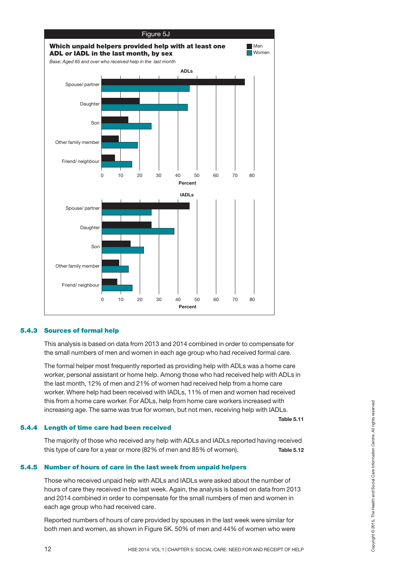

#### **5.4.3 Sources of formal help**

This analysis is based on data from 2013 and 2014 combined in order to compensate for the small numbers of men and women in each age group who had received formal care.

The formal helper most frequently reported as providing help with ADLs was a home care worker, personal assistant or home help. Among those who had received help with ADLs in the last month, 12% of men and 21% of women had received help from a home care worker. Where help had been received with IADLs, 11% of men and women had received this from a home care worker. For ADLs, help from home care workers increased with increasing age. The same was true for women, but not men, receiving help with IADLs.

#### **5.4.4 Length of time care had been received**

The majority of those who received any help with ADLs and IADLs reported having received this type of care for a year or more (82% of men and 85% of women). **Table 5.12**

#### **5.4.5 Number of hours of care in the last week from unpaid helpers**

Those who received unpaid help with ADLs and IADLs were asked about the number of hours of care they received in the last week. Again, the analysis is based on data from 2013 and 2014 combined in order to compensate for the small numbers of men and women in each age group who had received care. Increasing age. The same was true for women, but not men, receiving help with IADLs.<br> **Length of time care had been received**<br>
The majority of those who received any help with ADLs and IADLs reported having received<br>
this

Reported numbers of hours of care provided by spouses in the last week were similar for both men and women, as shown in Figure 5K. 50% of men and 44% of women who were

**Table 5.11**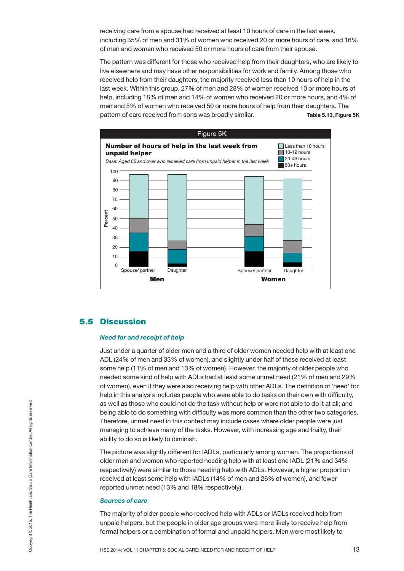receiving care from a spouse had received at least 10 hours of care in the last week, including 35% of men and 31% of women who received 20 or more hours of care, and 16% of men and women who received 50 or more hours of care from their spouse.

The pattern was different for those who received help from their daughters, who are likely to live elsewhere and may have other responsibilities for work and family. Among those who received help from their daughters, the majority received less than 10 hours of help in the last week. Within this group, 27% of men and 28% of women received 10 or more hours of help, including 18% of men and 14% of women who received 20 or more hours, and 4% of men and 5% of women who received 50 or more hours of help from their daughters. The pattern of care received from sons was broadly similar. **Table 5.13, Figure 5K**



#### **5.5 Discussion**

#### *Need for and receipt of help*

Just under a quarter of older men and a third of older women needed help with at least one ADL (24% of men and 33% of women), and slightly under half of these received at least some help (11% of men and 13% of women). However, the majority of older people who needed some kind of help with ADLs had at least some unmet need (21% of men and 29% of women), even if they were also receiving help with other ADLs. The definition of 'need' for help in this analysis includes people who were able to do tasks on their own with difficulty, as well as those who could not do the task without help or were not able to do it at all; and being able to do something with difficulty was more common than the other two categories. Therefore, unmet need in this context may include cases where older people were just managing to achieve many of the tasks. However, with increasing age and frailty, their ability to do so is likely to diminish.

The picture was slightly different for IADLs, particularly among women. The proportions of older men and women who reported needing help with at least one IADL (21% and 34% respectively) were similar to those needing help with ADLs. However, a higher proportion received at least some help with IADLs (14% of men and 26% of women), and fewer reported unmet need (13% and 18% respectively). However the same with control and the transformation with difficultly was more common than the other two categories.<br>Therefore, unmet need in this context may include cases where older people were just<br>managing to achieve

#### *Sources of care*

The majority of older people who received help with ADLs or IADLs received help from unpaid helpers, but the people in older age groups were more likely to receive help from formal helpers or a combination of formal and unpaid helpers. Men were most likely to